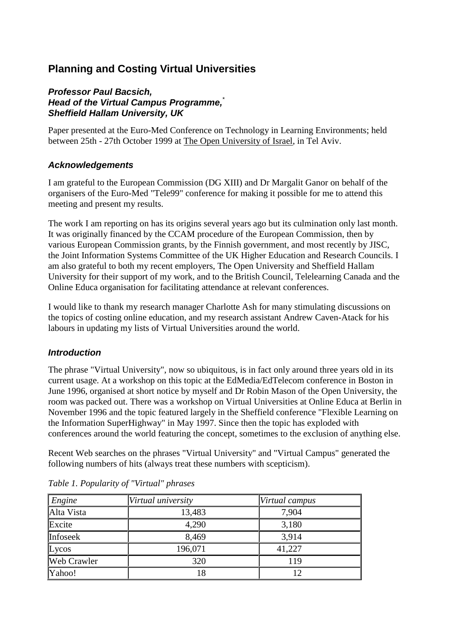# **Planning and Costing Virtual Universities**

## *Professor Paul Bacsich, Head of the Virtual Campus Programme,*\* *Sheffield Hallam University, UK*

Paper presented at the Euro-Med Conference on Technology in Learning Environments; held between 25th - 27th October 1999 at [The Open University of Israel,](http://www-e.openu.ac.il/) in Tel Aviv.

## *Acknowledgements*

I am grateful to the European Commission (DG XIII) and Dr Margalit Ganor on behalf of the organisers of the Euro-Med "Tele99" conference for making it possible for me to attend this meeting and present my results.

The work I am reporting on has its origins several years ago but its culmination only last month. It was originally financed by the CCAM procedure of the European Commission, then by various European Commission grants, by the Finnish government, and most recently by JISC, the Joint Information Systems Committee of the UK Higher Education and Research Councils. I am also grateful to both my recent employers, The Open University and Sheffield Hallam University for their support of my work, and to the British Council, Telelearning Canada and the Online Educa organisation for facilitating attendance at relevant conferences.

I would like to thank my research manager Charlotte Ash for many stimulating discussions on the topics of costing online education, and my research assistant Andrew Caven-Atack for his labours in updating my lists of Virtual Universities around the world.

## *Introduction*

The phrase "Virtual University", now so ubiquitous, is in fact only around three years old in its current usage. At a workshop on this topic at the EdMedia/EdTelecom conference in Boston in June 1996, organised at short notice by myself and Dr Robin Mason of the Open University, the room was packed out. There was a workshop on Virtual Universities at Online Educa at Berlin in November 1996 and the topic featured largely in the Sheffield conference "Flexible Learning on the Information SuperHighway" in May 1997. Since then the topic has exploded with conferences around the world featuring the concept, sometimes to the exclusion of anything else.

Recent Web searches on the phrases "Virtual University" and "Virtual Campus" generated the following numbers of hits (always treat these numbers with scepticism).

| $\lfloor$ <i>Engine</i> | Virtual university | Virtual campus |
|-------------------------|--------------------|----------------|
| Alta Vista              | 13,483             | 7,904          |
| Excite                  | 4,290              | 3,180          |
| Infoseek                | 8,469              | 3,914          |
| Lycos                   | 196,071            | 41,227         |
| Web Crawler             | 320                | 119            |
| Yahoo!                  | 18                 |                |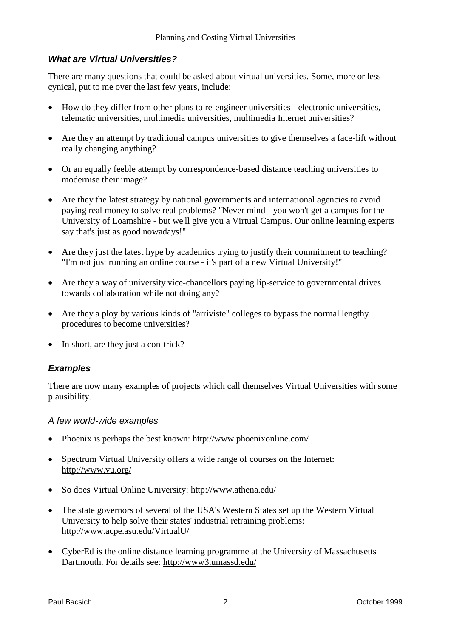## *What are Virtual Universities?*

There are many questions that could be asked about virtual universities. Some, more or less cynical, put to me over the last few years, include:

- How do they differ from other plans to re-engineer universities electronic universities, telematic universities, multimedia universities, multimedia Internet universities?
- Are they an attempt by traditional campus universities to give themselves a face-lift without really changing anything?
- Or an equally feeble attempt by correspondence-based distance teaching universities to modernise their image?
- Are they the latest strategy by national governments and international agencies to avoid paying real money to solve real problems? "Never mind - you won't get a campus for the University of Loamshire - but we'll give you a Virtual Campus. Our online learning experts say that's just as good nowadays!"
- Are they just the latest hype by academics trying to justify their commitment to teaching? "I'm not just running an online course - it's part of a new Virtual University!"
- Are they a way of university vice-chancellors paying lip-service to governmental drives towards collaboration while not doing any?
- Are they a ploy by various kinds of "arriviste" colleges to bypass the normal lengthy procedures to become universities?
- In short, are they just a con-trick?

## *Examples*

There are now many examples of projects which call themselves Virtual Universities with some plausibility.

## *A few world-wide examples*

- Phoenix is perhaps the best known:<http://www.phoenixonline.com/>
- Spectrum Virtual University offers a wide range of courses on the Internet: <http://www.vu.org/>
- So does Virtual Online University:<http://www.athena.edu/>
- The state governors of several of the USA's Western States set up the Western Virtual University to help solve their states' industrial retraining problems: <http://www.acpe.asu.edu/VirtualU/>
- CyberEd is the online distance learning programme at the University of Massachusetts Dartmouth. For details see:<http://www3.umassd.edu/>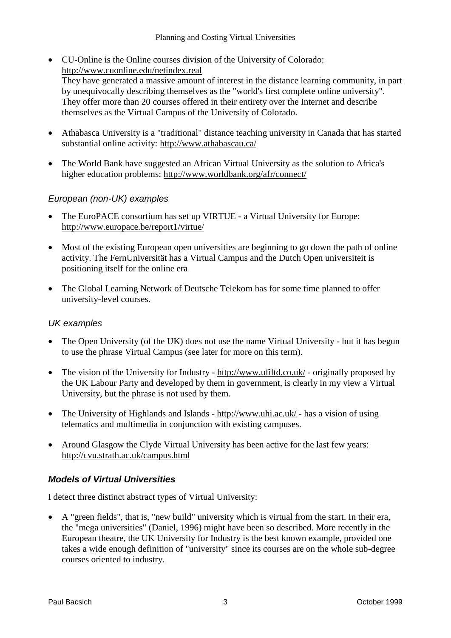- CU-Online is the Online courses division of the University of Colorado: <http://www.cuonline.edu/netindex.real> They have generated a massive amount of interest in the distance learning community, in part by unequivocally describing themselves as the "world's first complete online university". They offer more than 20 courses offered in their entirety over the Internet and describe themselves as the Virtual Campus of the University of Colorado.
- Athabasca University is a "traditional" distance teaching university in Canada that has started substantial online activity:<http://www.athabascau.ca/>
- The World Bank have suggested an African Virtual University as the solution to Africa's higher education problems:<http://www.worldbank.org/afr/connect/>

## *European (non-UK) examples*

- The EuroPACE consortium has set up VIRTUE a Virtual University for Europe: <http://www.europace.be/report1/virtue/>
- Most of the existing European open universities are beginning to go down the path of online activity. The FernUniversität has a Virtual Campus and the Dutch Open universiteit is positioning itself for the online era
- The Global Learning Network of Deutsche Telekom has for some time planned to offer university-level courses.

## *UK examples*

- The Open University (of the UK) does not use the name Virtual University but it has begun to use the phrase Virtual Campus (see later for more on this term).
- The vision of the University for Industry <http://www.ufiltd.co.uk/> originally proposed by the UK Labour Party and developed by them in government, is clearly in my view a Virtual University, but the phrase is not used by them.
- The University of Highlands and Islands <http://www.uhi.ac.uk/> has a vision of using telematics and multimedia in conjunction with existing campuses.
- Around Glasgow the Clyde Virtual University has been active for the last few years: <http://cvu.strath.ac.uk/campus.html>

## *Models of Virtual Universities*

I detect three distinct abstract types of Virtual University:

 A "green fields", that is, "new build" university which is virtual from the start. In their era, the "mega universities" (Daniel, 1996) might have been so described. More recently in the European theatre, the UK University for Industry is the best known example, provided one takes a wide enough definition of "university" since its courses are on the whole sub-degree courses oriented to industry.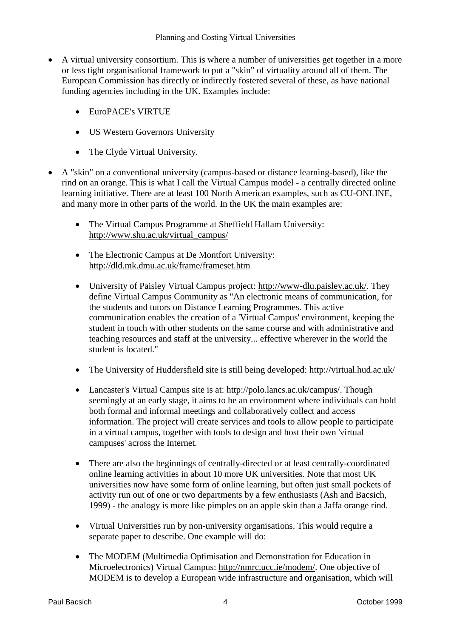- A virtual university consortium. This is where a number of universities get together in a more or less tight organisational framework to put a "skin" of virtuality around all of them. The European Commission has directly or indirectly fostered several of these, as have national funding agencies including in the UK. Examples include:
	- EuroPACE's VIRTUE
	- US Western Governors University
	- The Clyde Virtual University.
- A "skin" on a conventional university (campus-based or distance learning-based), like the rind on an orange. This is what I call the Virtual Campus model - a centrally directed online learning initiative. There are at least 100 North American examples, such as CU-ONLINE, and many more in other parts of the world. In the UK the main examples are:
	- The Virtual Campus Programme at Sheffield Hallam University: [http://www.shu.ac.uk/virtual\\_campus/](http://www.shu.ac.uk/virtual_campus/)
	- The Electronic Campus at De Montfort University: <http://dld.mk.dmu.ac.uk/frame/frameset.htm>
	- University of Paisley Virtual Campus project: [http://www-dlu.paisley.ac.uk/.](http://www-dlu.paisley.ac.uk/) They define Virtual Campus Community as "An electronic means of communication, for the students and tutors on Distance Learning Programmes. This active communication enables the creation of a 'Virtual Campus' environment, keeping the student in touch with other students on the same course and with administrative and teaching resources and staff at the university... effective wherever in the world the student is located."
	- The University of Huddersfield site is still being developed:<http://virtual.hud.ac.uk/>
	- Lancaster's Virtual Campus site is at: [http://polo.lancs.ac.uk/campus/.](http://polo.lancs.ac.uk/campus/) Though seemingly at an early stage, it aims to be an environment where individuals can hold both formal and informal meetings and collaboratively collect and access information. The project will create services and tools to allow people to participate in a virtual campus, together with tools to design and host their own 'virtual campuses' across the Internet.
	- There are also the beginnings of centrally-directed or at least centrally-coordinated online learning activities in about 10 more UK universities. Note that most UK universities now have some form of online learning, but often just small pockets of activity run out of one or two departments by a few enthusiasts (Ash and Bacsich, 1999) - the analogy is more like pimples on an apple skin than a Jaffa orange rind.
	- Virtual Universities run by non-university organisations. This would require a separate paper to describe. One example will do:
	- The MODEM (Multimedia Optimisation and Demonstration for Education in Microelectronics) Virtual Campus: [http://nmrc.ucc.ie/modem/.](http://nmrc.ucc.ie/modem/) One objective of MODEM is to develop a European wide infrastructure and organisation, which will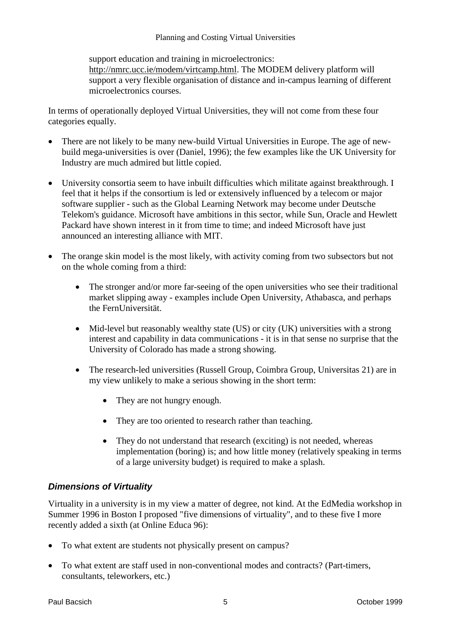support education and training in microelectronics: [http://nmrc.ucc.ie/modem/virtcamp.html.](http://nmrc.ucc.ie/modem/virtcamp.html) The MODEM delivery platform will support a very flexible organisation of distance and in-campus learning of different microelectronics courses.

In terms of operationally deployed Virtual Universities, they will not come from these four categories equally.

- There are not likely to be many new-build Virtual Universities in Europe. The age of newbuild mega-universities is over (Daniel, 1996); the few examples like the UK University for Industry are much admired but little copied.
- University consortia seem to have inbuilt difficulties which militate against breakthrough. I feel that it helps if the consortium is led or extensively influenced by a telecom or major software supplier - such as the Global Learning Network may become under Deutsche Telekom's guidance. Microsoft have ambitions in this sector, while Sun, Oracle and Hewlett Packard have shown interest in it from time to time; and indeed Microsoft have just announced an interesting alliance with MIT.
- The orange skin model is the most likely, with activity coming from two subsectors but not on the whole coming from a third:
	- The stronger and/or more far-seeing of the open universities who see their traditional market slipping away - examples include Open University, Athabasca, and perhaps the FernUniversität.
	- Mid-level but reasonably wealthy state (US) or city (UK) universities with a strong interest and capability in data communications - it is in that sense no surprise that the University of Colorado has made a strong showing.
	- The research-led universities (Russell Group, Coimbra Group, Universitas 21) are in my view unlikely to make a serious showing in the short term:
		- They are not hungry enough.
		- They are too oriented to research rather than teaching.
		- They do not understand that research (exciting) is not needed, whereas implementation (boring) is; and how little money (relatively speaking in terms of a large university budget) is required to make a splash.

## *Dimensions of Virtuality*

Virtuality in a university is in my view a matter of degree, not kind. At the EdMedia workshop in Summer 1996 in Boston I proposed "five dimensions of virtuality", and to these five I more recently added a sixth (at Online Educa 96):

- To what extent are students not physically present on campus?
- To what extent are staff used in non-conventional modes and contracts? (Part-timers, consultants, teleworkers, etc.)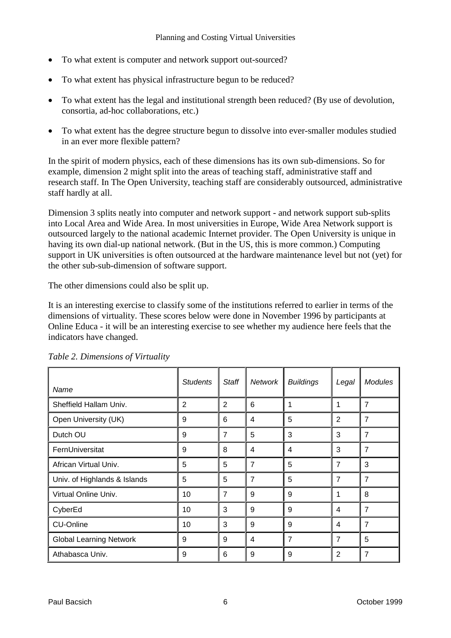- To what extent is computer and network support out-sourced?
- To what extent has physical infrastructure begun to be reduced?
- To what extent has the legal and institutional strength been reduced? (By use of devolution, consortia, ad-hoc collaborations, etc.)
- To what extent has the degree structure begun to dissolve into ever-smaller modules studied in an ever more flexible pattern?

In the spirit of modern physics, each of these dimensions has its own sub-dimensions. So for example, dimension 2 might split into the areas of teaching staff, administrative staff and research staff. In The Open University, teaching staff are considerably outsourced, administrative staff hardly at all.

Dimension 3 splits neatly into computer and network support - and network support sub-splits into Local Area and Wide Area. In most universities in Europe, Wide Area Network support is outsourced largely to the national academic Internet provider. The Open University is unique in having its own dial-up national network. (But in the US, this is more common.) Computing support in UK universities is often outsourced at the hardware maintenance level but not (yet) for the other sub-sub-dimension of software support.

The other dimensions could also be split up.

It is an interesting exercise to classify some of the institutions referred to earlier in terms of the dimensions of virtuality. These scores below were done in November 1996 by participants at Online Educa - it will be an interesting exercise to see whether my audience here feels that the indicators have changed.

| Name                           | <b>Students</b> | Staff          | Network | <b>Buildings</b> | Legal          | <b>Modules</b> |
|--------------------------------|-----------------|----------------|---------|------------------|----------------|----------------|
| Sheffield Hallam Univ.         | $\overline{2}$  | 2              | 6       | 1                | 1              | $\overline{7}$ |
| Open University (UK)           | 9               | 6              | 4       | 5                | 2              | $\overline{7}$ |
| Dutch OU                       | 9               | $\overline{7}$ | 5       | 3                | 3              | $\overline{7}$ |
| FernUniversitat                | 9               | 8              | 4       | 4                | 3              | $\overline{7}$ |
| African Virtual Univ.          | 5               | 5              | 7       | 5                | 7              | 3              |
| Univ. of Highlands & Islands   | 5               | 5              | 7       | 5                | 7              | $\overline{7}$ |
| Virtual Online Univ.           | 10              | $\overline{7}$ | 9       | 9                | 1              | 8              |
| CyberEd                        | 10              | 3              | 9       | 9                | $\overline{4}$ | $\overline{7}$ |
| <b>CU-Online</b>               | 10              | 3              | 9       | 9                | $\overline{4}$ | $\overline{7}$ |
| <b>Global Learning Network</b> | 9               | 9              | 4       | $\overline{7}$   | $\overline{7}$ | 5              |
| Athabasca Univ.                | 9               | 6              | 9       | 9                | $\overline{2}$ | $\overline{7}$ |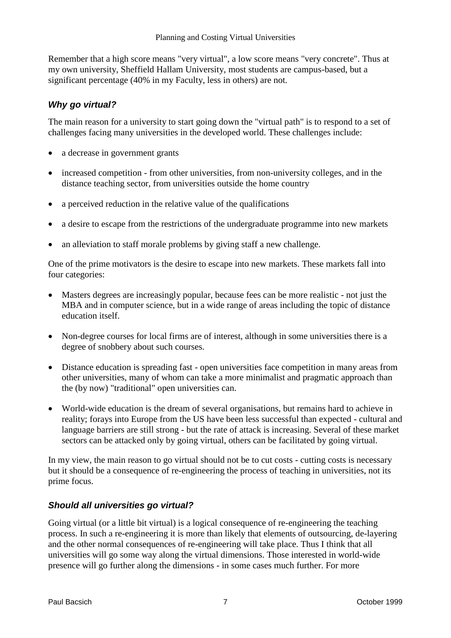Remember that a high score means "very virtual", a low score means "very concrete". Thus at my own university, Sheffield Hallam University, most students are campus-based, but a significant percentage (40% in my Faculty, less in others) are not.

## *Why go virtual?*

The main reason for a university to start going down the "virtual path" is to respond to a set of challenges facing many universities in the developed world. These challenges include:

- a decrease in government grants
- increased competition from other universities, from non-university colleges, and in the distance teaching sector, from universities outside the home country
- a perceived reduction in the relative value of the qualifications
- a desire to escape from the restrictions of the undergraduate programme into new markets
- an alleviation to staff morale problems by giving staff a new challenge.

One of the prime motivators is the desire to escape into new markets. These markets fall into four categories:

- Masters degrees are increasingly popular, because fees can be more realistic not just the MBA and in computer science, but in a wide range of areas including the topic of distance education itself.
- Non-degree courses for local firms are of interest, although in some universities there is a degree of snobbery about such courses.
- Distance education is spreading fast open universities face competition in many areas from other universities, many of whom can take a more minimalist and pragmatic approach than the (by now) "traditional" open universities can.
- World-wide education is the dream of several organisations, but remains hard to achieve in reality; forays into Europe from the US have been less successful than expected - cultural and language barriers are still strong - but the rate of attack is increasing. Several of these market sectors can be attacked only by going virtual, others can be facilitated by going virtual.

In my view, the main reason to go virtual should not be to cut costs - cutting costs is necessary but it should be a consequence of re-engineering the process of teaching in universities, not its prime focus.

## *Should all universities go virtual?*

Going virtual (or a little bit virtual) is a logical consequence of re-engineering the teaching process. In such a re-engineering it is more than likely that elements of outsourcing, de-layering and the other normal consequences of re-engineering will take place. Thus I think that all universities will go some way along the virtual dimensions. Those interested in world-wide presence will go further along the dimensions - in some cases much further. For more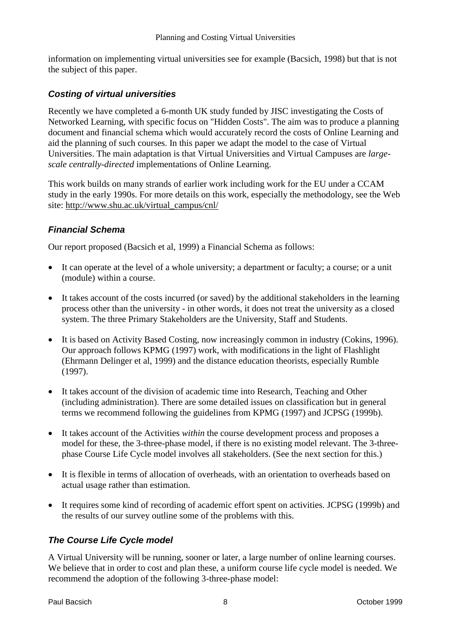information on implementing virtual universities see for example (Bacsich, 1998) but that is not the subject of this paper.

## *Costing of virtual universities*

Recently we have completed a 6-month UK study funded by JISC investigating the Costs of Networked Learning, with specific focus on "Hidden Costs". The aim was to produce a planning document and financial schema which would accurately record the costs of Online Learning and aid the planning of such courses. In this paper we adapt the model to the case of Virtual Universities. The main adaptation is that Virtual Universities and Virtual Campuses are *largescale centrally-directed* implementations of Online Learning.

This work builds on many strands of earlier work including work for the EU under a CCAM study in the early 1990s. For more details on this work, especially the methodology, see the Web site: [http://www.shu.ac.uk/virtual\\_campus/cnl/](http://www.shu.ac.uk/virtual_campus/cnl/)

## *Financial Schema*

Our report proposed (Bacsich et al, 1999) a Financial Schema as follows:

- It can operate at the level of a whole university; a department or faculty; a course; or a unit (module) within a course.
- It takes account of the costs incurred (or saved) by the additional stakeholders in the learning process other than the university - in other words, it does not treat the university as a closed system. The three Primary Stakeholders are the University, Staff and Students.
- It is based on Activity Based Costing, now increasingly common in industry (Cokins, 1996). Our approach follows KPMG (1997) work, with modifications in the light of Flashlight (Ehrmann Delinger et al, 1999) and the distance education theorists, especially Rumble (1997).
- It takes account of the division of academic time into Research, Teaching and Other (including administration). There are some detailed issues on classification but in general terms we recommend following the guidelines from KPMG (1997) and JCPSG (1999b).
- It takes account of the Activities *within* the course development process and proposes a model for these, the 3-three-phase model, if there is no existing model relevant. The 3-threephase Course Life Cycle model involves all stakeholders. (See the next section for this.)
- It is flexible in terms of allocation of overheads, with an orientation to overheads based on actual usage rather than estimation.
- It requires some kind of recording of academic effort spent on activities. JCPSG (1999b) and the results of our survey outline some of the problems with this.

## *The Course Life Cycle model*

A Virtual University will be running, sooner or later, a large number of online learning courses. We believe that in order to cost and plan these, a uniform course life cycle model is needed. We recommend the adoption of the following 3-three-phase model: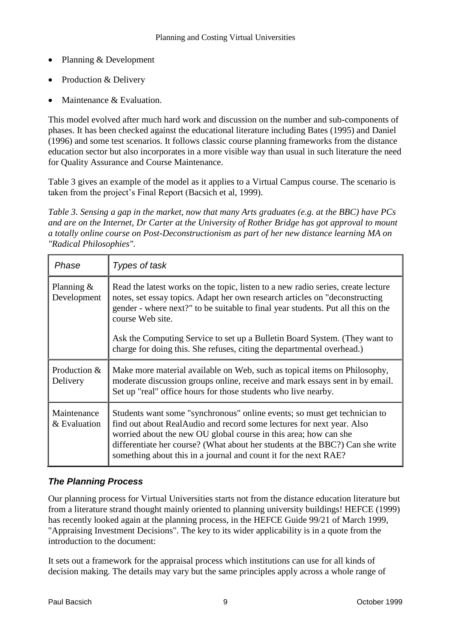- Planning & Development
- Production & Delivery
- Maintenance & Evaluation.

This model evolved after much hard work and discussion on the number and sub-components of phases. It has been checked against the educational literature including Bates (1995) and Daniel (1996) and some test scenarios. It follows classic course planning frameworks from the distance education sector but also incorporates in a more visible way than usual in such literature the need for Quality Assurance and Course Maintenance.

Table 3 gives an example of the model as it applies to a Virtual Campus course. The scenario is taken from the project's Final Report (Bacsich et al, 1999).

*Table 3. Sensing a gap in the market, now that many Arts graduates (e.g. at the BBC) have PCs and are on the Internet, Dr Carter at the University of Rother Bridge has got approval to mount a totally online course on Post-Deconstructionism as part of her new distance learning MA on "Radical Philosophies".*

| Phase                        | Types of task                                                                                                                                                                                                                                                                                                                                                               |  |
|------------------------------|-----------------------------------------------------------------------------------------------------------------------------------------------------------------------------------------------------------------------------------------------------------------------------------------------------------------------------------------------------------------------------|--|
| Planning $\&$<br>Development | Read the latest works on the topic, listen to a new radio series, create lecture<br>notes, set essay topics. Adapt her own research articles on "deconstructing<br>gender - where next?" to be suitable to final year students. Put all this on the<br>course Web site.                                                                                                     |  |
|                              | Ask the Computing Service to set up a Bulletin Board System. (They want to<br>charge for doing this. She refuses, citing the departmental overhead.)                                                                                                                                                                                                                        |  |
| Production &<br>Delivery     | Make more material available on Web, such as topical items on Philosophy,<br>moderate discussion groups online, receive and mark essays sent in by email.<br>Set up "real" office hours for those students who live nearby.                                                                                                                                                 |  |
| Maintenance<br>& Evaluation  | Students want some "synchronous" online events; so must get technician to<br>find out about RealAudio and record some lectures for next year. Also<br>worried about the new OU global course in this area; how can she<br>differentiate her course? (What about her students at the BBC?) Can she write<br>something about this in a journal and count it for the next RAE? |  |

## *The Planning Process*

Our planning process for Virtual Universities starts not from the distance education literature but from a literature strand thought mainly oriented to planning university buildings! HEFCE (1999) has recently looked again at the planning process, in the HEFCE Guide 99/21 of March 1999, "Appraising Investment Decisions". The key to its wider applicability is in a quote from the introduction to the document:

It sets out a framework for the appraisal process which institutions can use for all kinds of decision making. The details may vary but the same principles apply across a whole range of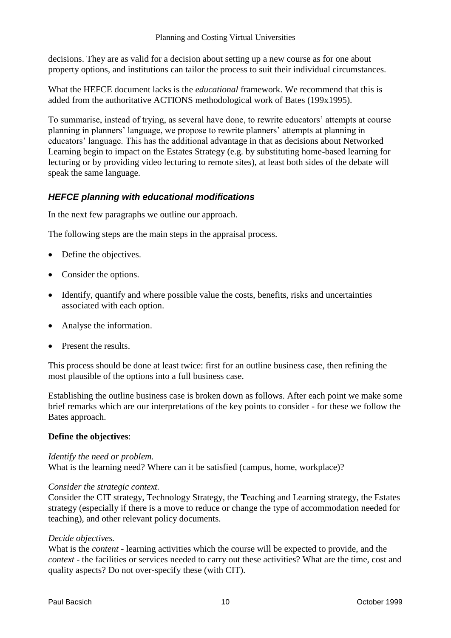decisions. They are as valid for a decision about setting up a new course as for one about property options, and institutions can tailor the process to suit their individual circumstances.

What the HEFCE document lacks is the *educational* framework. We recommend that this is added from the authoritative ACTIONS methodological work of Bates (199x1995).

To summarise, instead of trying, as several have done, to rewrite educators' attempts at course planning in planners' language, we propose to rewrite planners' attempts at planning in educators' language. This has the additional advantage in that as decisions about Networked Learning begin to impact on the Estates Strategy (e.g. by substituting home-based learning for lecturing or by providing video lecturing to remote sites), at least both sides of the debate will speak the same language.

## *HEFCE planning with educational modifications*

In the next few paragraphs we outline our approach.

The following steps are the main steps in the appraisal process.

- Define the objectives.
- Consider the options.
- Identify, quantify and where possible value the costs, benefits, risks and uncertainties associated with each option.
- Analyse the information.
- Present the results.

This process should be done at least twice: first for an outline business case, then refining the most plausible of the options into a full business case.

Establishing the outline business case is broken down as follows. After each point we make some brief remarks which are our interpretations of the key points to consider - for these we follow the Bates approach.

## **Define the objectives**:

## *Identify the need or problem.*

What is the learning need? Where can it be satisfied (campus, home, workplace)?

## *Consider the strategic context.*

Consider the CIT strategy, Technology Strategy, the **T**eaching and Learning strategy, the Estates strategy (especially if there is a move to reduce or change the type of accommodation needed for teaching), and other relevant policy documents.

## *Decide objectives.*

What is the *content* - learning activities which the course will be expected to provide, and the *context* - the facilities or services needed to carry out these activities? What are the time, cost and quality aspects? Do not over-specify these (with CIT).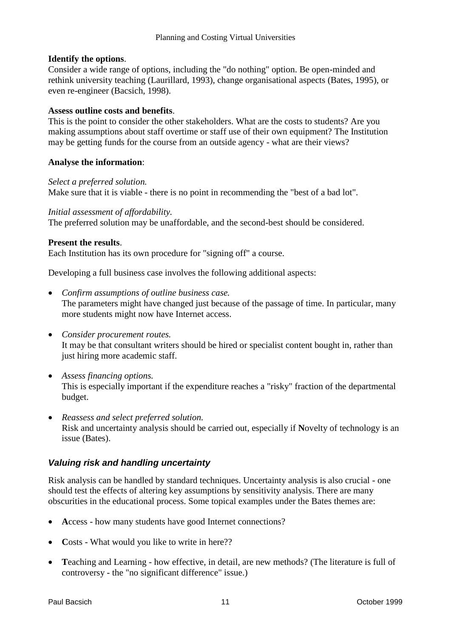### **Identify the options**.

Consider a wide range of options, including the "do nothing" option. Be open-minded and rethink university teaching (Laurillard, 1993), change organisational aspects (Bates, 1995), or even re-engineer (Bacsich, 1998).

### **Assess outline costs and benefits**.

This is the point to consider the other stakeholders. What are the costs to students? Are you making assumptions about staff overtime or staff use of their own equipment? The Institution may be getting funds for the course from an outside agency - what are their views?

#### **Analyse the information**:

#### *Select a preferred solution.*

Make sure that it is viable - there is no point in recommending the "best of a bad lot".

*Initial assessment of affordability.*

The preferred solution may be unaffordable, and the second-best should be considered.

#### **Present the results**.

Each Institution has its own procedure for "signing off" a course.

Developing a full business case involves the following additional aspects:

- *Confirm assumptions of outline business case.* The parameters might have changed just because of the passage of time. In particular, many more students might now have Internet access.
- *Consider procurement routes.* It may be that consultant writers should be hired or specialist content bought in, rather than just hiring more academic staff.
- *Assess financing options.* This is especially important if the expenditure reaches a "risky" fraction of the departmental budget.
- *Reassess and select preferred solution.* Risk and uncertainty analysis should be carried out, especially if **N**ovelty of technology is an issue (Bates).

## *Valuing risk and handling uncertainty*

Risk analysis can be handled by standard techniques. Uncertainty analysis is also crucial - one should test the effects of altering key assumptions by sensitivity analysis. There are many obscurities in the educational process. Some topical examples under the Bates themes are:

- **A**ccess how many students have good Internet connections?
- Costs What would you like to write in here??
- Teaching and Learning how effective, in detail, are new methods? (The literature is full of controversy - the "no significant difference" issue.)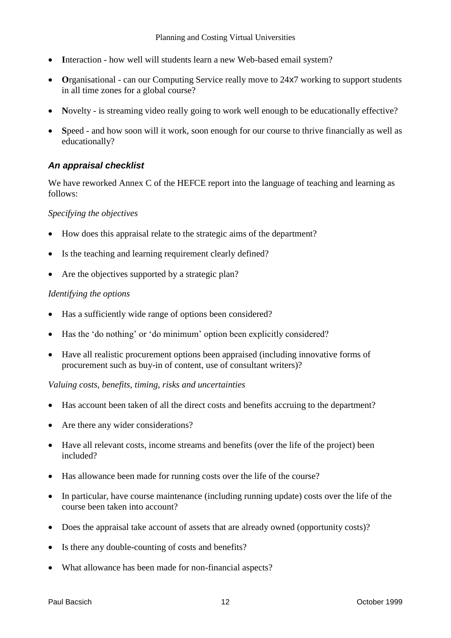- Interaction how well will students learn a new Web-based email system?
- Organisational can our Computing Service really move to 24x7 working to support students in all time zones for a global course?
- Novelty is streaming video really going to work well enough to be educationally effective?
- Speed and how soon will it work, soon enough for our course to thrive financially as well as educationally?

## *An appraisal checklist*

We have reworked Annex C of the HEFCE report into the language of teaching and learning as follows:

#### *Specifying the objectives*

- How does this appraisal relate to the strategic aims of the department?
- Is the teaching and learning requirement clearly defined?
- Are the objectives supported by a strategic plan?

### *Identifying the options*

- Has a sufficiently wide range of options been considered?
- Has the 'do nothing' or 'do minimum' option been explicitly considered?
- Have all realistic procurement options been appraised (including innovative forms of procurement such as buy-in of content, use of consultant writers)?

#### *Valuing costs, benefits, timing, risks and uncertainties*

- Has account been taken of all the direct costs and benefits accruing to the department?
- Are there any wider considerations?
- Have all relevant costs, income streams and benefits (over the life of the project) been included?
- Has allowance been made for running costs over the life of the course?
- In particular, have course maintenance (including running update) costs over the life of the course been taken into account?
- Does the appraisal take account of assets that are already owned (opportunity costs)?
- Is there any double-counting of costs and benefits?
- What allowance has been made for non-financial aspects?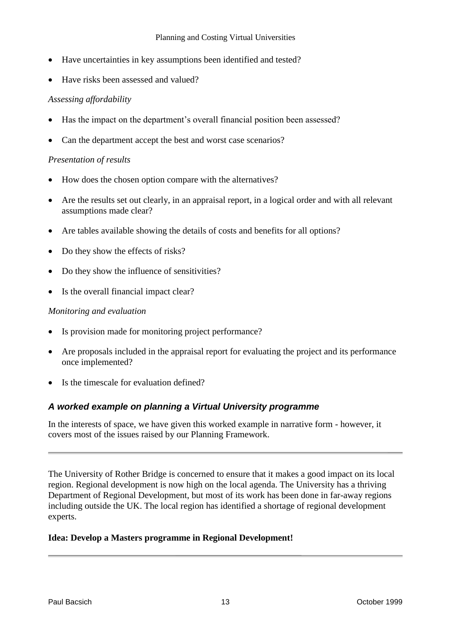#### Planning and Costing Virtual Universities

- Have uncertainties in key assumptions been identified and tested?
- Have risks been assessed and valued?

#### *Assessing affordability*

- Has the impact on the department's overall financial position been assessed?
- Can the department accept the best and worst case scenarios?

#### *Presentation of results*

- How does the chosen option compare with the alternatives?
- Are the results set out clearly, in an appraisal report, in a logical order and with all relevant assumptions made clear?
- Are tables available showing the details of costs and benefits for all options?
- Do they show the effects of risks?
- Do they show the influence of sensitivities?
- Is the overall financial impact clear?

#### *Monitoring and evaluation*

- Is provision made for monitoring project performance?
- Are proposals included in the appraisal report for evaluating the project and its performance once implemented?
- Is the timescale for evaluation defined?

## *A worked example on planning a Virtual University programme*

In the interests of space, we have given this worked example in narrative form - however, it covers most of the issues raised by our Planning Framework.

The University of Rother Bridge is concerned to ensure that it makes a good impact on its local region. Regional development is now high on the local agenda. The University has a thriving Department of Regional Development, but most of its work has been done in far-away regions including outside the UK. The local region has identified a shortage of regional development experts.

#### **Idea: Develop a Masters programme in Regional Development!**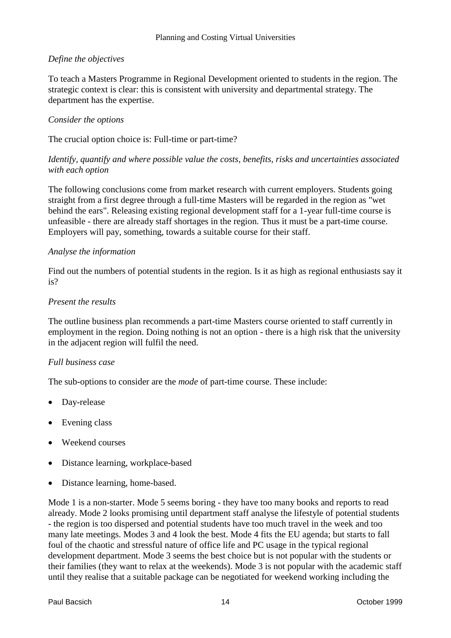### *Define the objectives*

To teach a Masters Programme in Regional Development oriented to students in the region. The strategic context is clear: this is consistent with university and departmental strategy. The department has the expertise.

### *Consider the options*

The crucial option choice is: Full-time or part-time?

### *Identify, quantify and where possible value the costs, benefits, risks and uncertainties associated with each option*

The following conclusions come from market research with current employers. Students going straight from a first degree through a full-time Masters will be regarded in the region as "wet behind the ears". Releasing existing regional development staff for a 1-year full-time course is unfeasible - there are already staff shortages in the region. Thus it must be a part-time course. Employers will pay, something, towards a suitable course for their staff.

### *Analyse the information*

Find out the numbers of potential students in the region. Is it as high as regional enthusiasts say it is?

### *Present the results*

The outline business plan recommends a part-time Masters course oriented to staff currently in employment in the region. Doing nothing is not an option - there is a high risk that the university in the adjacent region will fulfil the need.

#### *Full business case*

The sub-options to consider are the *mode* of part-time course. These include:

- Day-release
- Evening class
- Weekend courses
- Distance learning, workplace-based
- Distance learning, home-based.

Mode 1 is a non-starter. Mode 5 seems boring - they have too many books and reports to read already. Mode 2 looks promising until department staff analyse the lifestyle of potential students - the region is too dispersed and potential students have too much travel in the week and too many late meetings. Modes 3 and 4 look the best. Mode 4 fits the EU agenda; but starts to fall foul of the chaotic and stressful nature of office life and PC usage in the typical regional development department. Mode 3 seems the best choice but is not popular with the students or their families (they want to relax at the weekends). Mode 3 is not popular with the academic staff until they realise that a suitable package can be negotiated for weekend working including the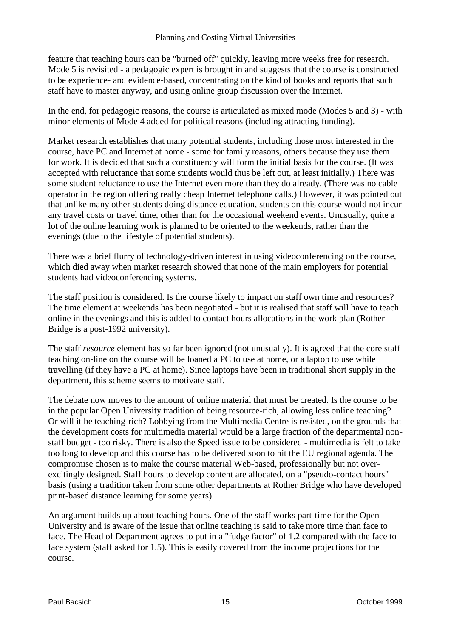feature that teaching hours can be "burned off" quickly, leaving more weeks free for research. Mode 5 is revisited - a pedagogic expert is brought in and suggests that the course is constructed to be experience- and evidence-based, concentrating on the kind of books and reports that such staff have to master anyway, and using online group discussion over the Internet.

In the end, for pedagogic reasons, the course is articulated as mixed mode (Modes 5 and 3) - with minor elements of Mode 4 added for political reasons (including attracting funding).

Market research establishes that many potential students, including those most interested in the course, have PC and Internet at home - some for family reasons, others because they use them for work. It is decided that such a constituency will form the initial basis for the course. (It was accepted with reluctance that some students would thus be left out, at least initially.) There was some student reluctance to use the Internet even more than they do already. (There was no cable operator in the region offering really cheap Internet telephone calls.) However, it was pointed out that unlike many other students doing distance education, students on this course would not incur any travel costs or travel time, other than for the occasional weekend events. Unusually, quite a lot of the online learning work is planned to be oriented to the weekends, rather than the evenings (due to the lifestyle of potential students).

There was a brief flurry of technology-driven interest in using videoconferencing on the course, which died away when market research showed that none of the main employers for potential students had videoconferencing systems.

The staff position is considered. Is the course likely to impact on staff own time and resources? The time element at weekends has been negotiated - but it is realised that staff will have to teach online in the evenings and this is added to contact hours allocations in the work plan (Rother Bridge is a post-1992 university).

The staff *resource* element has so far been ignored (not unusually). It is agreed that the core staff teaching on-line on the course will be loaned a PC to use at home, or a laptop to use while travelling (if they have a PC at home). Since laptops have been in traditional short supply in the department, this scheme seems to motivate staff.

The debate now moves to the amount of online material that must be created. Is the course to be in the popular Open University tradition of being resource-rich, allowing less online teaching? Or will it be teaching-rich? Lobbying from the Multimedia Centre is resisted, on the grounds that the development costs for multimedia material would be a large fraction of the departmental nonstaff budget - too risky. There is also the **S**peed issue to be considered - multimedia is felt to take too long to develop and this course has to be delivered soon to hit the EU regional agenda. The compromise chosen is to make the course material Web-based, professionally but not overexcitingly designed. Staff hours to develop content are allocated, on a "pseudo-contact hours" basis (using a tradition taken from some other departments at Rother Bridge who have developed print-based distance learning for some years).

An argument builds up about teaching hours. One of the staff works part-time for the Open University and is aware of the issue that online teaching is said to take more time than face to face. The Head of Department agrees to put in a "fudge factor" of 1.2 compared with the face to face system (staff asked for 1.5). This is easily covered from the income projections for the course.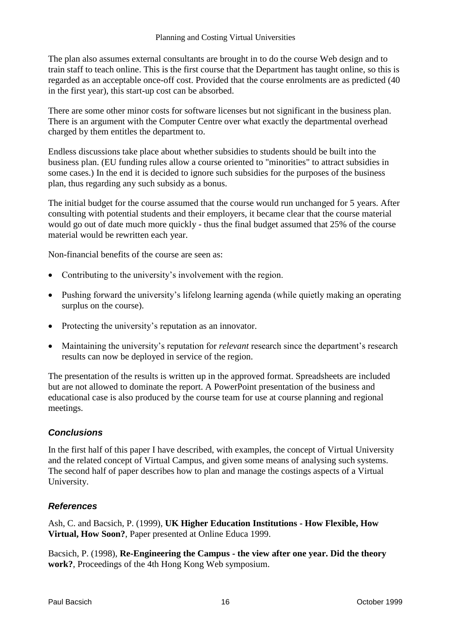The plan also assumes external consultants are brought in to do the course Web design and to train staff to teach online. This is the first course that the Department has taught online, so this is regarded as an acceptable once-off cost. Provided that the course enrolments are as predicted (40 in the first year), this start-up cost can be absorbed.

There are some other minor costs for software licenses but not significant in the business plan. There is an argument with the Computer Centre over what exactly the departmental overhead charged by them entitles the department to.

Endless discussions take place about whether subsidies to students should be built into the business plan. (EU funding rules allow a course oriented to "minorities" to attract subsidies in some cases.) In the end it is decided to ignore such subsidies for the purposes of the business plan, thus regarding any such subsidy as a bonus.

The initial budget for the course assumed that the course would run unchanged for 5 years. After consulting with potential students and their employers, it became clear that the course material would go out of date much more quickly - thus the final budget assumed that 25% of the course material would be rewritten each year.

Non-financial benefits of the course are seen as:

- Contributing to the university's involvement with the region.
- Pushing forward the university's lifelong learning agenda (while quietly making an operating surplus on the course).
- Protecting the university's reputation as an innovator.
- Maintaining the university's reputation for *relevant* research since the department's research results can now be deployed in service of the region.

The presentation of the results is written up in the approved format. Spreadsheets are included but are not allowed to dominate the report. A PowerPoint presentation of the business and educational case is also produced by the course team for use at course planning and regional meetings.

## *Conclusions*

In the first half of this paper I have described, with examples, the concept of Virtual University and the related concept of Virtual Campus, and given some means of analysing such systems. The second half of paper describes how to plan and manage the costings aspects of a Virtual University.

## *References*

Ash, C. and Bacsich, P. (1999), **UK Higher Education Institutions - How Flexible, How Virtual, How Soon?**, Paper presented at Online Educa 1999.

Bacsich, P. (1998), **Re-Engineering the Campus - the view after one year. Did the theory work?**, Proceedings of the 4th Hong Kong Web symposium.